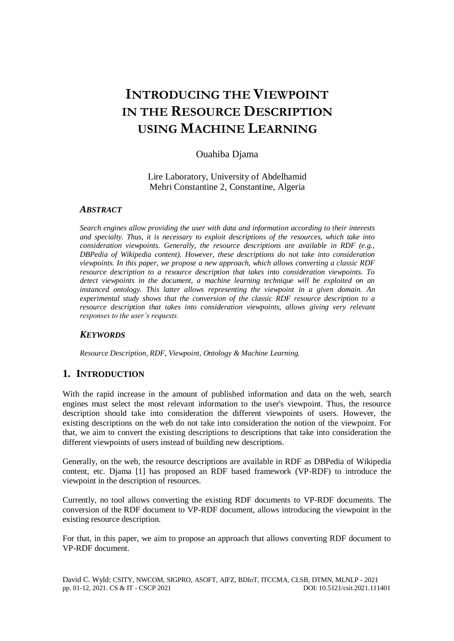# **INTRODUCING THE VIEWPOINT IN THE RESOURCE DESCRIPTION USING MACHINE LEARNING**

# Ouahiba Djama

Lire Laboratory, University of Abdelhamid Mehri Constantine 2, Constantine, Algeria

### *ABSTRACT*

*Search engines allow providing the user with data and information according to their interests and specialty. Thus, it is necessary to exploit descriptions of the resources, which take into consideration viewpoints. Generally, the resource descriptions are available in RDF (e.g., DBPedia of Wikipedia content). However, these descriptions do not take into consideration viewpoints. In this paper, we propose a new approach, which allows converting a classic RDF resource description to a resource description that takes into consideration viewpoints. To detect viewpoints in the document, a machine learning technique will be exploited on an instanced ontology. This latter allows representing the viewpoint in a given domain. An experimental study shows that the conversion of the classic RDF resource description to a resource description that takes into consideration viewpoints, allows giving very relevant responses to the user's requests.*

# *KEYWORDS*

*Resource Description, RDF, Viewpoint, Ontology & Machine Learning.* 

# **1. INTRODUCTION**

With the rapid increase in the amount of published information and data on the web, search engines must select the most relevant information to the user's viewpoint. Thus, the resource description should take into consideration the different viewpoints of users. However, the existing descriptions on the web do not take into consideration the notion of the viewpoint. For that, we aim to convert the existing descriptions to descriptions that take into consideration the different viewpoints of users instead of building new descriptions.

Generally, on the web, the resource descriptions are available in RDF as DBPedia of Wikipedia content, etc. Djama [1] has proposed an RDF based framework (VP-RDF) to introduce the viewpoint in the description of resources.

Currently, no tool allows converting the existing RDF documents to VP-RDF documents. The conversion of the RDF document to VP-RDF document, allows introducing the viewpoint in the existing resource description.

For that, in this paper, we aim to propose an approach that allows converting RDF document to VP-RDF document.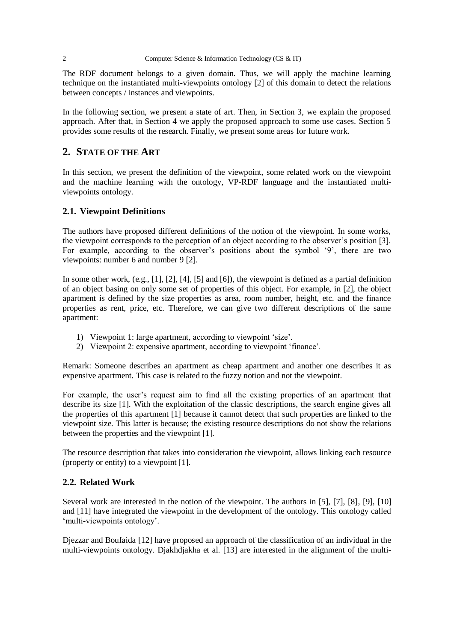The RDF document belongs to a given domain. Thus, we will apply the machine learning technique on the instantiated multi-viewpoints ontology [2] of this domain to detect the relations between concepts / instances and viewpoints.

In the following section, we present a state of art. Then, in Section 3, we explain the proposed approach. After that, in Section 4 we apply the proposed approach to some use cases. Section 5 provides some results of the research. Finally, we present some areas for future work.

# **2. STATE OF THE ART**

In this section, we present the definition of the viewpoint, some related work on the viewpoint and the machine learning with the ontology, VP-RDF language and the instantiated multiviewpoints ontology.

### **2.1. Viewpoint Definitions**

The authors have proposed different definitions of the notion of the viewpoint. In some works, the viewpoint corresponds to the perception of an object according to the observer's position [3]. For example, according to the observer's positions about the symbol '9', there are two viewpoints: number 6 and number 9 [2].

In some other work, (e.g., [1], [2], [4], [5] and [6]), the viewpoint is defined as a partial definition of an object basing on only some set of properties of this object. For example, in [2], the object apartment is defined by the size properties as area, room number, height, etc. and the finance properties as rent, price, etc. Therefore, we can give two different descriptions of the same apartment:

- 1) Viewpoint 1: large apartment, according to viewpoint 'size'.
- 2) Viewpoint 2: expensive apartment, according to viewpoint 'finance'.

Remark: Someone describes an apartment as cheap apartment and another one describes it as expensive apartment. This case is related to the fuzzy notion and not the viewpoint.

For example, the user's request aim to find all the existing properties of an apartment that describe its size [1]. With the exploitation of the classic descriptions, the search engine gives all the properties of this apartment [1] because it cannot detect that such properties are linked to the viewpoint size. This latter is because; the existing resource descriptions do not show the relations between the properties and the viewpoint [1].

The resource description that takes into consideration the viewpoint, allows linking each resource (property or entity) to a viewpoint [1].

# **2.2. Related Work**

Several work are interested in the notion of the viewpoint. The authors in [5], [7], [8], [9], [10] and [11] have integrated the viewpoint in the development of the ontology. This ontology called 'multi-viewpoints ontology'.

Djezzar and Boufaida [12] have proposed an approach of the classification of an individual in the multi-viewpoints ontology. Djakhdjakha et al. [13] are interested in the alignment of the multi-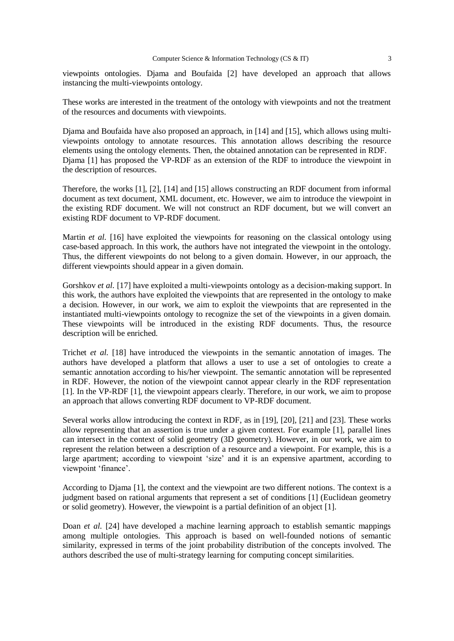viewpoints ontologies. Djama and Boufaida [2] have developed an approach that allows instancing the multi-viewpoints ontology.

These works are interested in the treatment of the ontology with viewpoints and not the treatment of the resources and documents with viewpoints.

Djama and Boufaida have also proposed an approach, in [14] and [15], which allows using multiviewpoints ontology to annotate resources. This annotation allows describing the resource elements using the ontology elements. Then, the obtained annotation can be represented in RDF. Djama [1] has proposed the VP-RDF as an extension of the RDF to introduce the viewpoint in the description of resources.

Therefore, the works [1], [2], [14] and [15] allows constructing an RDF document from informal document as text document, XML document, etc. However, we aim to introduce the viewpoint in the existing RDF document. We will not construct an RDF document, but we will convert an existing RDF document to VP-RDF document.

Martin *et al.* [16] have exploited the viewpoints for reasoning on the classical ontology using case-based approach. In this work, the authors have not integrated the viewpoint in the ontology. Thus, the different viewpoints do not belong to a given domain. However, in our approach, the different viewpoints should appear in a given domain.

Gorshkov *et al.* [17] have exploited a multi-viewpoints ontology as a decision-making support. In this work, the authors have exploited the viewpoints that are represented in the ontology to make a decision. However, in our work, we aim to exploit the viewpoints that are represented in the instantiated multi-viewpoints ontology to recognize the set of the viewpoints in a given domain. These viewpoints will be introduced in the existing RDF documents. Thus, the resource description will be enriched.

Trichet *et al.* [18] have introduced the viewpoints in the semantic annotation of images. The authors have developed a platform that allows a user to use a set of ontologies to create a semantic annotation according to his/her viewpoint. The semantic annotation will be represented in RDF. However, the notion of the viewpoint cannot appear clearly in the RDF representation [1]. In the VP-RDF [1], the viewpoint appears clearly. Therefore, in our work, we aim to propose an approach that allows converting RDF document to VP-RDF document.

Several works allow introducing the context in RDF, as in [19], [20], [21] and [23]. These works allow representing that an assertion is true under a given context. For example [1], parallel lines can intersect in the context of solid geometry (3D geometry). However, in our work, we aim to represent the relation between a description of a resource and a viewpoint. For example, this is a large apartment; according to viewpoint 'size' and it is an expensive apartment, according to viewpoint 'finance'.

According to Djama [1], the context and the viewpoint are two different notions. The context is a judgment based on rational arguments that represent a set of conditions [1] (Euclidean geometry or solid geometry). However, the viewpoint is a partial definition of an object [1].

Doan *et al.* [24] have developed a machine learning approach to establish semantic mappings among multiple ontologies. This approach is based on well-founded notions of semantic similarity, expressed in terms of the joint probability distribution of the concepts involved. The authors described the use of multi-strategy learning for computing concept similarities.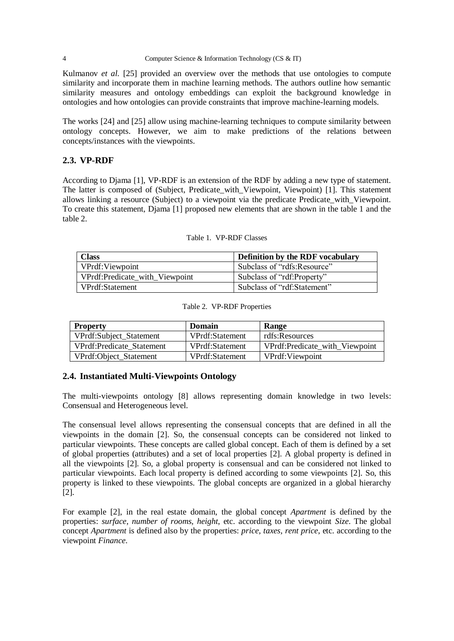#### 4 Computer Science & Information Technology (CS & IT)

Kulmanov *et al.* [25] provided an overview over the methods that use ontologies to compute similarity and incorporate them in machine learning methods. The authors outline how semantic similarity measures and ontology embeddings can exploit the background knowledge in ontologies and how ontologies can provide constraints that improve machine-learning models.

The works [24] and [25] allow using machine-learning techniques to compute similarity between ontology concepts. However, we aim to make predictions of the relations between concepts/instances with the viewpoints.

# **2.3. VP-RDF**

According to Djama [1], VP-RDF is an extension of the RDF by adding a new type of statement. The latter is composed of (Subject, Predicate\_with\_Viewpoint, Viewpoint) [1]. This statement allows linking a resource (Subject) to a viewpoint via the predicate Predicate with Viewpoint. To create this statement, Djama [1] proposed new elements that are shown in the table 1 and the table 2.

| <b>Class</b>                   | <b>Definition by the RDF vocabulary</b> |
|--------------------------------|-----------------------------------------|
| VPrdf: Viewpoint               | Subclass of "rdfs:Resource"             |
| VPrdf:Predicate_with_Viewpoint | Subclass of "rdf:Property"              |
| VPrdf:Statement                | Subclass of "rdf:Statement"             |

|  | Table 1. VP-RDF Classes |  |
|--|-------------------------|--|
|--|-------------------------|--|

| <b>Property</b>           | Domain          | Range                          |
|---------------------------|-----------------|--------------------------------|
| VPrdf:Subject_Statement   | VPrdf:Statement | rdfs:Resources                 |
| VPrdf:Predicate Statement | VPrdf:Statement | VPrdf:Predicate with Viewpoint |
| VPrdf:Object_Statement    | VPrdf:Statement | VPrdf:Viewpoint                |

#### Table 2. VP-RDF Properties

#### **2.4. Instantiated Multi-Viewpoints Ontology**

The multi-viewpoints ontology [8] allows representing domain knowledge in two levels: Consensual and Heterogeneous level.

The consensual level allows representing the consensual concepts that are defined in all the viewpoints in the domain [2]. So, the consensual concepts can be considered not linked to particular viewpoints. These concepts are called global concept. Each of them is defined by a set of global properties (attributes) and a set of local properties [2]. A global property is defined in all the viewpoints [2]. So, a global property is consensual and can be considered not linked to particular viewpoints. Each local property is defined according to some viewpoints [2]. So, this property is linked to these viewpoints. The global concepts are organized in a global hierarchy [2].

For example [2], in the real estate domain, the global concept *Apartment* is defined by the properties: *surface, number of rooms, height*, etc. according to the viewpoint *Size*. The global concept *Apartment* is defined also by the properties: *price, taxes, rent price*, etc. according to the viewpoint *Finance*.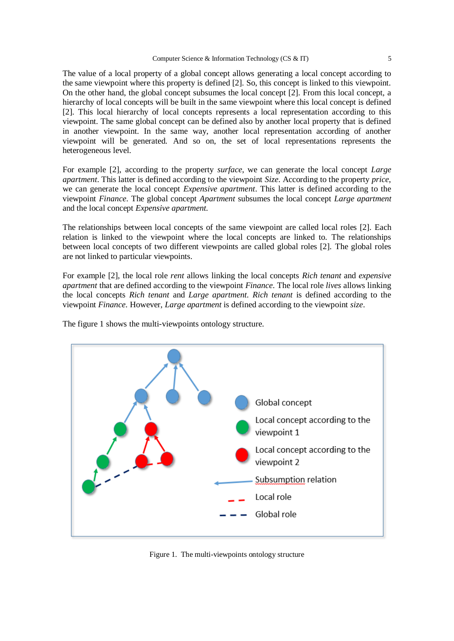The value of a local property of a global concept allows generating a local concept according to the same viewpoint where this property is defined [2]. So, this concept is linked to this viewpoint. On the other hand, the global concept subsumes the local concept [2]. From this local concept, a hierarchy of local concepts will be built in the same viewpoint where this local concept is defined [2]. This local hierarchy of local concepts represents a local representation according to this viewpoint. The same global concept can be defined also by another local property that is defined in another viewpoint. In the same way, another local representation according of another viewpoint will be generated. And so on, the set of local representations represents the heterogeneous level.

For example [2], according to the property *surface*, we can generate the local concept *Large apartment*. This latter is defined according to the viewpoint *Size*. According to the property *price*, we can generate the local concept *Expensive apartment*. This latter is defined according to the viewpoint *Finance*. The global concept *Apartment* subsumes the local concept *Large apartment* and the local concept *Expensive apartment.*

The relationships between local concepts of the same viewpoint are called local roles [2]. Each relation is linked to the viewpoint where the local concepts are linked to. The relationships between local concepts of two different viewpoints are called global roles [2]. The global roles are not linked to particular viewpoints.

For example [2], the local role *rent* allows linking the local concepts *Rich tenant* and *expensive apartment* that are defined according to the viewpoint *Finance*. The local role *lives* allows linking the local concepts *Rich tenant* and *Large apartment. Rich tenant* is defined according to the viewpoint *Finance*. However, *Large apartment* is defined according to the viewpoint *size*.

The figure 1 shows the multi-viewpoints ontology structure.



Figure 1. The multi-viewpoints ontology structure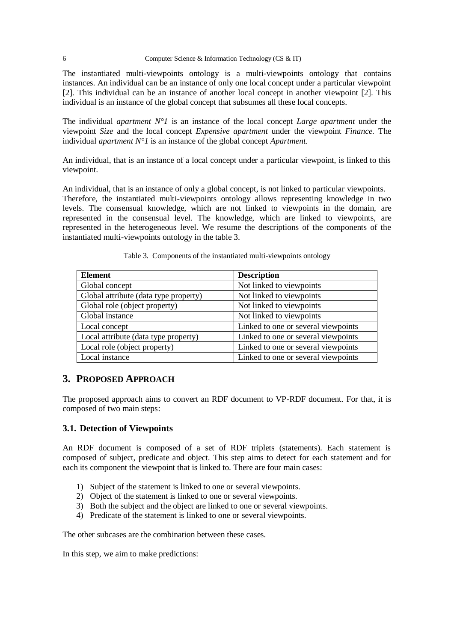The instantiated multi-viewpoints ontology is a multi-viewpoints ontology that contains instances. An individual can be an instance of only one local concept under a particular viewpoint [2]. This individual can be an instance of another local concept in another viewpoint [2]. This individual is an instance of the global concept that subsumes all these local concepts.

The individual *apartment N°1* is an instance of the local concept *Large apartment* under the viewpoint *Size* and the local concept *Expensive apartment* under the viewpoint *Finance.* The individual *apartment N°1* is an instance of the global concept *Apartment.*

An individual, that is an instance of a local concept under a particular viewpoint, is linked to this viewpoint.

An individual, that is an instance of only a global concept, is not linked to particular viewpoints. Therefore, the instantiated multi-viewpoints ontology allows representing knowledge in two levels. The consensual knowledge, which are not linked to viewpoints in the domain, are represented in the consensual level. The knowledge, which are linked to viewpoints, are represented in the heterogeneous level. We resume the descriptions of the components of the instantiated multi-viewpoints ontology in the table 3.

| <b>Element</b>                        | <b>Description</b>                  |
|---------------------------------------|-------------------------------------|
| Global concept                        | Not linked to viewpoints            |
| Global attribute (data type property) | Not linked to viewpoints            |
| Global role (object property)         | Not linked to viewpoints            |
| Global instance                       | Not linked to viewpoints            |
| Local concept                         | Linked to one or several viewpoints |
| Local attribute (data type property)  | Linked to one or several viewpoints |
| Local role (object property)          | Linked to one or several viewpoints |
| Local instance                        | Linked to one or several viewpoints |

Table 3. Components of the instantiated multi-viewpoints ontology

# **3. PROPOSED APPROACH**

The proposed approach aims to convert an RDF document to VP-RDF document. For that, it is composed of two main steps:

#### **3.1. Detection of Viewpoints**

An RDF document is composed of a set of RDF triplets (statements). Each statement is composed of subject, predicate and object. This step aims to detect for each statement and for each its component the viewpoint that is linked to. There are four main cases:

- 1) Subject of the statement is linked to one or several viewpoints.
- 2) Object of the statement is linked to one or several viewpoints.
- 3) Both the subject and the object are linked to one or several viewpoints.
- 4) Predicate of the statement is linked to one or several viewpoints.

The other subcases are the combination between these cases.

In this step, we aim to make predictions: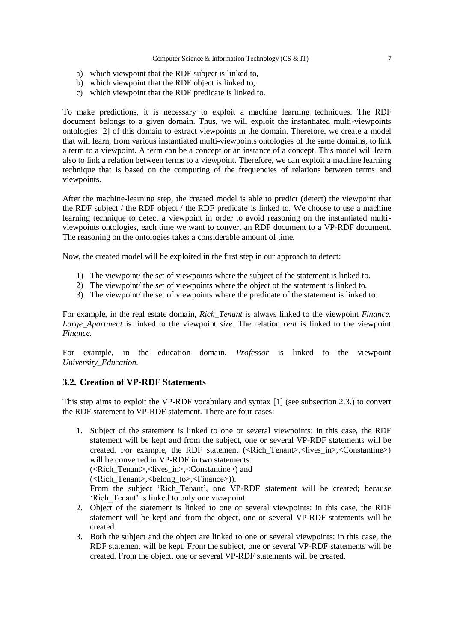- a) which viewpoint that the RDF subject is linked to,
- b) which viewpoint that the RDF object is linked to,
- c) which viewpoint that the RDF predicate is linked to.

To make predictions, it is necessary to exploit a machine learning techniques. The RDF document belongs to a given domain. Thus, we will exploit the instantiated multi-viewpoints ontologies [2] of this domain to extract viewpoints in the domain. Therefore, we create a model that will learn, from various instantiated multi-viewpoints ontologies of the same domains, to link a term to a viewpoint. A term can be a concept or an instance of a concept. This model will learn also to link a relation between terms to a viewpoint. Therefore, we can exploit a machine learning technique that is based on the computing of the frequencies of relations between terms and viewpoints.

After the machine-learning step, the created model is able to predict (detect) the viewpoint that the RDF subject / the RDF object / the RDF predicate is linked to. We choose to use a machine learning technique to detect a viewpoint in order to avoid reasoning on the instantiated multiviewpoints ontologies, each time we want to convert an RDF document to a VP-RDF document. The reasoning on the ontologies takes a considerable amount of time.

Now, the created model will be exploited in the first step in our approach to detect:

- 1) The viewpoint/ the set of viewpoints where the subject of the statement is linked to.
- 2) The viewpoint/ the set of viewpoints where the object of the statement is linked to.
- 3) The viewpoint/ the set of viewpoints where the predicate of the statement is linked to.

For example, in the real estate domain, *Rich\_Tenant* is always linked to the viewpoint *Finance. Large\_Apartment* is linked to the viewpoint *size.* The relation *rent* is linked to the viewpoint *Finance.*

For example, in the education domain, *Professor* is linked to the viewpoint *University\_Education.*

#### **3.2. Creation of VP-RDF Statements**

This step aims to exploit the VP-RDF vocabulary and syntax [1] (see subsection 2.3.) to convert the RDF statement to VP-RDF statement. There are four cases:

1. Subject of the statement is linked to one or several viewpoints: in this case, the RDF statement will be kept and from the subject, one or several VP-RDF statements will be created. For example, the RDF statement (<Rich\_Tenant>,<lives\_in>,<Constantine>) will be converted in VP-RDF in two statements:

(<Rich\_Tenant>,<lives\_in>,<Constantine>) and

(<Rich\_Tenant>,<belong\_to>,<Finance>)).

From the subject 'Rich Tenant', one VP-RDF statement will be created; because 'Rich\_Tenant' is linked to only one viewpoint.

- 2. Object of the statement is linked to one or several viewpoints: in this case, the RDF statement will be kept and from the object, one or several VP-RDF statements will be created.
- 3. Both the subject and the object are linked to one or several viewpoints: in this case, the RDF statement will be kept. From the subject, one or several VP-RDF statements will be created. From the object, one or several VP-RDF statements will be created.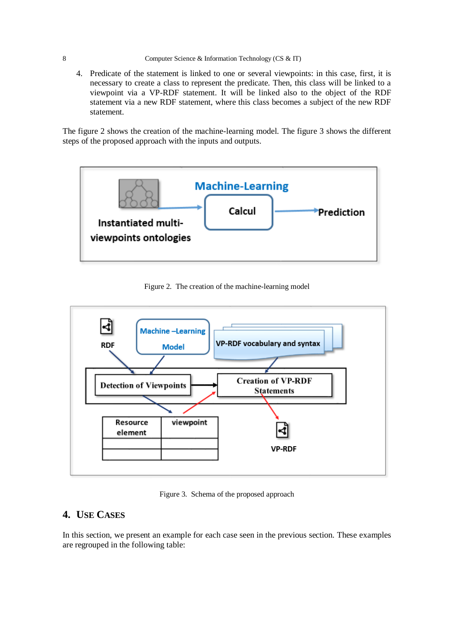4. Predicate of the statement is linked to one or several viewpoints: in this case, first, it is necessary to create a class to represent the predicate. Then, this class will be linked to a viewpoint via a VP-RDF statement. It will be linked also to the object of the RDF statement via a new RDF statement, where this class becomes a subject of the new RDF statement.

The figure 2 shows the creation of the machine-learning model. The figure 3 shows the different steps of the proposed approach with the inputs and outputs.



Figure 2. The creation of the machine-learning model



Figure 3. Schema of the proposed approach

# **4. USE CASES**

In this section, we present an example for each case seen in the previous section. These examples are regrouped in the following table: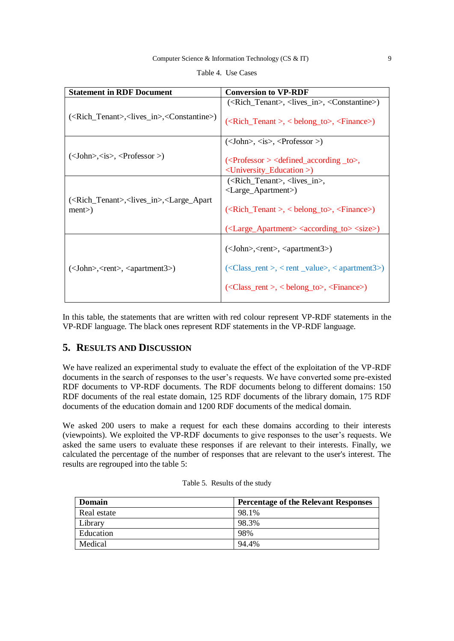| <b>Statement in RDF Document</b>                                                          | <b>Conversion to VP-RDF</b>                                                                                                                                                                                                                                                                                                                                                                                                                                                                                 |
|-------------------------------------------------------------------------------------------|-------------------------------------------------------------------------------------------------------------------------------------------------------------------------------------------------------------------------------------------------------------------------------------------------------------------------------------------------------------------------------------------------------------------------------------------------------------------------------------------------------------|
| ( <rich_tenant>,<lives_in>,<constantine>)</constantine></lives_in></rich_tenant>          | ( <rich_tenant>, <lives_in>, <constantine>)</constantine></lives_in></rich_tenant>                                                                                                                                                                                                                                                                                                                                                                                                                          |
|                                                                                           | $(\langle$ Rich_Tenant >, $\langle$ belong_to>, $\langle$ Finance>)                                                                                                                                                                                                                                                                                                                                                                                                                                         |
|                                                                                           | $(<\text{John}>, <\text{is}>, <\text{Professor}>$                                                                                                                                                                                                                                                                                                                                                                                                                                                           |
| $\langle$<br>John>, <is>, &lt;<math>\langle</math>Professor &gt;)</is>                    | $\langle$ > $\rangle$ $\langle$ $\rangle$ $\langle$ $\rangle$ $\langle$ $\rangle$ $\langle$ $\rangle$ $\langle$ $\rangle$ $\langle$ $\rangle$ $\langle$ $\rangle$ $\langle$ $\rangle$ $\langle$ $\rangle$ $\langle$ $\rangle$ $\langle$ $\rangle$ $\langle$ $\rangle$ $\langle$ $\rangle$ $\langle$ $\rangle$ $\langle$ $\rangle$ $\langle$ $\rangle$ $\langle$ $\rangle$ $\langle$ $\rangle$ $\langle$ $\rangle$ $\langle$ $\rangle$ $\langle$ $\rangle$<br><university_education>)</university_education> |
| ( <rich_tenant>,<lives_in>,<large_apart<br>ment</large_apart<br></lives_in></rich_tenant> | ( <rich_tenant>, <lives_in>,</lives_in></rich_tenant>                                                                                                                                                                                                                                                                                                                                                                                                                                                       |
|                                                                                           | <large_apartment>)</large_apartment>                                                                                                                                                                                                                                                                                                                                                                                                                                                                        |
|                                                                                           | $\langle$ <rich_tenant>, &lt; belong_to&gt;, <finance>)</finance></rich_tenant>                                                                                                                                                                                                                                                                                                                                                                                                                             |
|                                                                                           | ( <large_apartment> <according_to> <size>)</size></according_to></large_apartment>                                                                                                                                                                                                                                                                                                                                                                                                                          |
| $(<\text{John}\rangle$ , $<\text{rent}\rangle$ , $<\text{apartment3}\rangle$ )            | $(<\text{John}\rangle$ , $<\text{rent}\rangle$ , $<\text{apartment3}\rangle$ )                                                                                                                                                                                                                                                                                                                                                                                                                              |
|                                                                                           | $\langle$ < Class_rent >, < rent _value>, < apartment 3>)                                                                                                                                                                                                                                                                                                                                                                                                                                                   |
|                                                                                           | $\langle$ < Class_rent >, < belong_to>, < Finance>)                                                                                                                                                                                                                                                                                                                                                                                                                                                         |

|  | Table 4. Use Cases |
|--|--------------------|
|--|--------------------|

In this table, the statements that are written with red colour represent VP-RDF statements in the VP-RDF language. The black ones represent RDF statements in the VP-RDF language.

# **5. RESULTS AND DISCUSSION**

We have realized an experimental study to evaluate the effect of the exploitation of the VP-RDF documents in the search of responses to the user's requests. We have converted some pre-existed RDF documents to VP-RDF documents. The RDF documents belong to different domains: 150 RDF documents of the real estate domain, 125 RDF documents of the library domain, 175 RDF documents of the education domain and 1200 RDF documents of the medical domain.

We asked 200 users to make a request for each these domains according to their interests (viewpoints). We exploited the VP-RDF documents to give responses to the user's requests. We asked the same users to evaluate these responses if are relevant to their interests. Finally, we calculated the percentage of the number of responses that are relevant to the user's interest. The results are regrouped into the table 5:

| Domain      | <b>Percentage of the Relevant Responses</b> |
|-------------|---------------------------------------------|
| Real estate | 98.1%                                       |
| Library     | 98.3%                                       |
| Education   | 98%                                         |
| Medical     | 94.4%                                       |

Table 5. Results of the study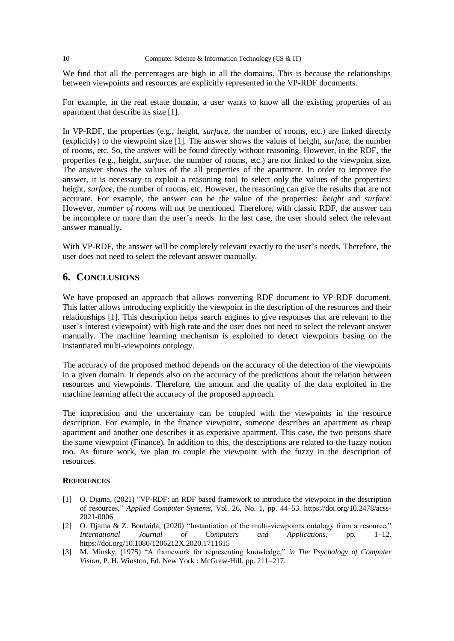We find that all the percentages are high in all the domains. This is because the relationships between viewpoints and resources are explicitly represented in the VP-RDF documents.

For example, in the real estate domain, a user wants to know all the existing properties of an apartment that describe its size [1].

In VP-RDF, the properties (e.g., height, *surface*, the number of rooms, etc.) are linked directly (explicitly) to the viewpoint size [1]. The answer shows the values of height, *surface*, the number of rooms, etc. So, the answer will be found directly without reasoning. However, in the RDF, the properties (e.g., height, *surface*, the number of rooms, etc.) are not linked to the viewpoint size. The answer shows the values of the all properties of the apartment. In order to improve the answer, it is necessary to exploit a reasoning tool to select only the values of the properties: height, *surface*, the number of rooms, etc. However, the reasoning can give the results that are not accurate. For example, the answer can be the value of the properties: *height* and *surface.*  However, *number of rooms* will not be mentioned. Therefore, with classic RDF, the answer can be incomplete or more than the user's needs. In the last case, the user should select the relevant answer manually.

With VP-RDF, the answer will be completely relevant exactly to the user's needs. Therefore, the user does not need to select the relevant answer manually.

# **6. CONCLUSIONS**

We have proposed an approach that allows converting RDF document to VP-RDF document. This latter allows introducing explicitly the viewpoint in the description of the resources and their relationships [1]. This description helps search engines to give responses that are relevant to the user's interest (viewpoint) with high rate and the user does not need to select the relevant answer manually. The machine learning mechanism is exploited to detect viewpoints basing on the instantiated multi-viewpoints ontology.

The accuracy of the proposed method depends on the accuracy of the detection of the viewpoints in a given domain. It depends also on the accuracy of the predictions about the relation between resources and viewpoints. Therefore, the amount and the quality of the data exploited in the machine learning affect the accuracy of the proposed approach.

The imprecision and the uncertainty can be coupled with the viewpoints in the resource description. For example, in the finance viewpoint, someone describes an apartment as cheap apartment and another one describes it as expensive apartment. This case, the two persons share the same viewpoint (Finance). In addition to this, the descriptions are related to the fuzzy notion too. As future work, we plan to couple the viewpoint with the fuzzy in the description of resources.

#### **REFERENCES**

- [1] O. Djama, (2021) "VP-RDF: an RDF based framework to introduce the viewpoint in the description of resources," *Applied Computer Systems*, Vol. 26, No. 1, pp. 44–53. https://doi.org/10.2478/acss-2021-0006
- [2] O. Djama & Z. Boufaida, (2020) "Instantiation of the multi-viewpoints ontology from a resource," *International Journal of Computers and Applications*, pp. 1–12. https://doi.org/10.1080/1206212X.2020.1711615
- [3] M. Minsky, (1975) "A framework for representing knowledge," *in The Psychology of Computer Vision*, P. H. Winston, Ed. New York : McGraw-Hill, pp. 211–217.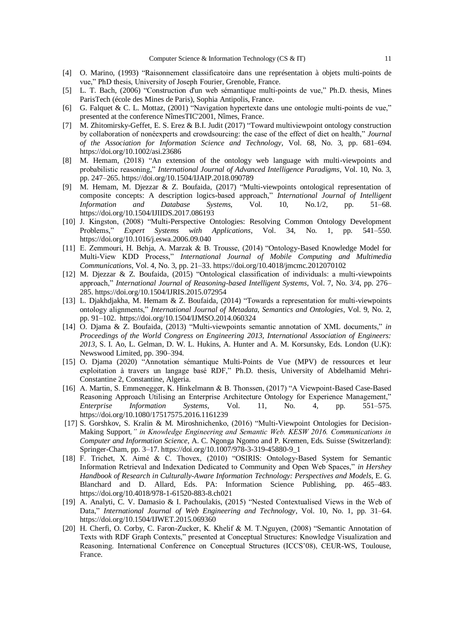- [4] O. Marino, (1993) "Raisonnement classificatoire dans une représentation à objets multi-points de vue," PhD thesis, University of Joseph Fourier, Grenoble, France.
- [5] L. T. Bach, (2006) "Construction d'un web sémantique multi-points de vue," Ph.D. thesis, Mines ParisTech (école des Mines de Paris), Sophia Antipolis, France.
- [6] G. Falquet & C. L. Mottaz, (2001) "Navigation hypertexte dans une ontologie multi-points de vue," presented at the conference NîmesTIC'2001, Nîmes, France.
- [7] M. Zhitomirsky-Geffet, E. S. Erez & B.I. Judit (2017) "Toward multiviewpoint ontology construction by collaboration of nonéexperts and crowdsourcing: the case of the effect of diet on health," *Journal of the Association for Information Science and Technology*, Vol. 68, No. 3, pp. 681–694. https://doi.org/10.1002/asi.23686
- [8] M. Hemam, (2018) "An extension of the ontology web language with multi-viewpoints and probabilistic reasoning," *International Journal of Advanced Intelligence Paradigms*, Vol. 10, No. 3, pp. 247–265. https://doi.org/10.1504/IJAIP.2018.090789
- [9] M. Hemam, M. Djezzar & Z. Boufaida, (2017) "Multi-viewpoints ontological representation of composite concepts: A description logics-based approach," *International Journal of Intelligent Information and Database Systems*, Vol. 10, No.1/2, pp. 51–68. <https://doi.org/10.1504/IJIIDS.2017.086193>
- [10] J. Kingston, (2008) "Multi-Perspective Ontologies: Resolving Common Ontology Development Problems," *Expert Systems with Applications*, Vol. 34, No. 1, pp. 541–550. <https://doi.org/10.1016/j.eswa.2006.09.040>
- [11] E. Zemmouri, H. Behja, A. Marzak & B. Trousse, (2014) "Ontology-Based Knowledge Model for Multi-View KDD Process," *International Journal of Mobile Computing and Multimedia Communications*, Vol. 4, No. 3, pp. 21–33[. https://doi.org/10.4018/jmcmc.2012070102](https://doi.org/10.4018/jmcmc.2012070102)
- [12] M. Djezzar & Z. Boufaida, (2015) "Ontological classification of individuals: a multi-viewpoints approach," *International Journal of Reasoning-based Intelligent Systems*, Vol. 7, No. 3/4, pp. 276– 285. https://doi.org/10.1504/IJRIS.2015.072954
- [13] L. Djakhdjakha, M. Hemam & Z. Boufaida, (2014) "Towards a representation for multi-viewpoints ontology alignments," *International Journal of Metadata, Semantics and Ontologies*, Vol. 9, No. 2, pp. 91–102. https://doi.org/10.1504/IJMSO.2014.060324
- [14] O. Djama & Z. Boufaida, (2013) "Multi-viewpoints semantic annotation of XML documents," *in Proceedings of the World Congress on Engineering 2013, International Association of Engineers: 2013*, S. I. Ao, L. Gelman, D. W. L. Hukins, A. Hunter and A. M. Korsunsky, Eds. London (U.K): Newswood Limited, pp. 390–394.
- [15] O. Djama (2020) "Annotation sémantique Multi-Points de Vue (MPV) de ressources et leur exploitation à travers un langage basé RDF," Ph.D. thesis, University of Abdelhamid Mehri-Constantine 2, Constantine, Algeria.
- [16] A. Martin, S. Emmenegger, K. Hinkelmann & B. Thonssen, (2017) "A Viewpoint-Based Case-Based Reasoning Approach Utilising an Enterprise Architecture Ontology for Experience Management," *Enterprise Information Systems*, Vol. 11, No. 4, pp. 551–575. https://doi.org/10.1080/17517575.2016.1161239
- [17] S. Gorshkov, S. Kralin & M. Miroshnichenko, (2016) "Multi-Viewpoint Ontologies for Decision-Making Support*," in Knowledge Engineering and Semantic Web. KESW 2016. Communications in Computer and Information Science*, A. C. Ngonga Ngomo and P. Kremen, Eds. Suisse (Switzerland): Springer-Cham, pp. 3–17. https://doi.org/10.1007/978-3-319-45880-9\_1
- [18] F. Trichet, X. Aimé & C. Thovex, (2010) "OSIRIS: Ontology-Based System for Semantic Information Retrieval and Indexation Dedicated to Community and Open Web Spaces," *in Hershey Handbook of Research in Culturally-Aware Information Technology: Perspectives and Models*, E. G. Blanchard and D. Allard, Eds. PA: Information Science Publishing, pp. 465–483. https://doi.org/10.4018/978-1-61520-883-8.ch021
- [19] A. Analyti, C. V. Damasio & I. Pachoulakis, (2015) "Nested Contextualised Views in the Web of Data," *International Journal of Web Engineering and Technology*, Vol. 10, No. 1, pp. 31–64. https://doi.org/10.1504/IJWET.2015.069360
- [20] H. Cherfi, O. Corby, C. Faron-Zucker, K. Khelif & M. T.Nguyen, (2008) "Semantic Annotation of Texts with RDF Graph Contexts," presented at Conceptual Structures: Knowledge Visualization and Reasoning. International Conference on Conceptual Structures (ICCS'08), CEUR-WS, Toulouse, France.